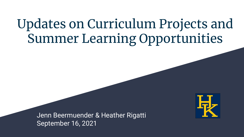## Updates on Curriculum Projects and Summer Learning Opportunities

Jenn Beermuender & Heather Rigatti September 16, 2021

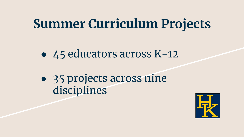## **Summer Curriculum Projects**

- 45 educators across K-12
- 35 projects across nine disciplines

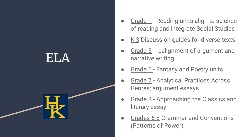### ELA



- Grade 1 Reading units align to science of reading and integrate Social Studies
- $K-3$  Discussion guides for diverse texts
- Grade 5 realignment of argument and narrative writing
- Grade 6 Fantasy and Poetry units
- Grade 7 Analytical Practices Across Genres; argument essays
- Grade 8 Approaching the Classics and literary essay
- Grades 6-8 Grammar and Conventions (Patterns of Power)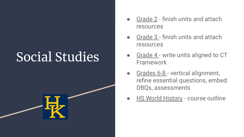## Social Studies



- Grade 2 finish units and attach resources
- Grade 3 finish units and attach resources
- Grade 4 write units aligned to CT Framework
- Grades 6-8 vertical alignment, refine essential questions, embed DBQs, assessments
- **HS World History course outline**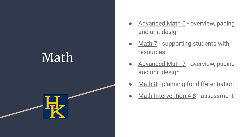## Math



- Advanced Math 6 overview, pacing and unit design
- Math 7 supporting students with resources
- Advanced Math 7 overview, pacing and unit design
- Math  $8$  planning for differentiation
- Math Intervention 4-8 assessment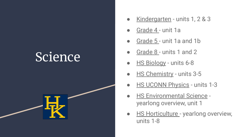### Science



- Kindergarten units 1, 2 & 3
- Grade 4 unit 1a
- Grade 5 unit 1a and 1b
- Grade 8 units 1 and 2
- **HS Biology units 6-8**
- **HS Chemistry units 3-5**
- **HS UCONN Physics units 1-3**
- **HS Environmental Science** yearlong overview, unit 1
- **HS Horticulture yearlong overview,** units 1-8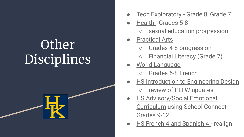# **Other** Disciplines



- Tech Exploratory Grade 8, Grade 7
- Health Grades 5-8
	- sexual education progression
- **Practical Arts** 
	- Grades 4-8 progression
	- Financial Literacy (Grade 7)
- World Language
	- Grades 5-8 French
- **HS Introduction to Engineering Design** ○ review of PLTW updates
- **HS Advisory/Social Emotional** Curriculum using School Connect - Grades 9-12
- HS French 4 and Spanish 4 realign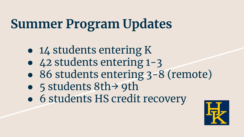# **Summer Program Updates**

- 14 students entering K
- 42 students entering 1-3
- 86 students entering  $3-8$  (remote)
- 5 students 8th→ 9th
- 6 students HS credit recovery

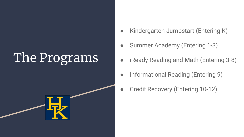# The Programs



- Kindergarten Jumpstart (Entering K)
- Summer Academy (Entering 1-3)
- iReady Reading and Math (Entering 3-8)
- Informational Reading (Entering 9)
- **Credit Recovery (Entering 10-12)**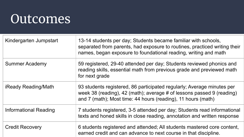### **Outcomes**

| Kindergarten Jumpstart | 13-14 students per day; Students became familiar with schools,<br>separated from parents, had exposure to routines, practiced writing their<br>names, began exposure to foundational reading, writing and math  |
|------------------------|-----------------------------------------------------------------------------------------------------------------------------------------------------------------------------------------------------------------|
| <b>Summer Academy</b>  | 59 registered, 29-40 attended per day; Students reviewed phonics and<br>reading skills, essential math from previous grade and previewed math<br>for next grade                                                 |
| iReady Reading/Math    | 93 students registered, 86 participated regularly; Average minutes per<br>week 38 (reading), 42 (math); average # of lessons passed 9 (reading)<br>and 7 (math); Most time: 44 hours (reading), 11 hours (math) |
| Informational Reading  | 7 students registered, 3-5 attended per day; Students read informational<br>texts and honed skills in close reading, annotation and written response                                                            |
| <b>Credit Recovery</b> | 6 students registered and attended; All students mastered core content,<br>earned credit and can advance to next course in that discipline.                                                                     |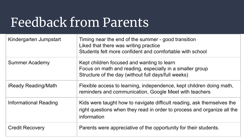## Feedback from Parents

| Kindergarten Jumpstart       | Timing near the end of the summer - good transition<br>Liked that there was writing practice<br>Students felt more confident and comfortable with school         |
|------------------------------|------------------------------------------------------------------------------------------------------------------------------------------------------------------|
| Summer Academy               | Kept children focused and wanting to learn<br>Focus on math and reading, especially in a smaller group<br>Structure of the day (without full days/full weeks)    |
| <b>iReady Reading/Math</b>   | Flexible access to learning, independence, kept children doing math,<br>reminders and communication, Google Meet with teachers                                   |
| <b>Informational Reading</b> | Kids were taught how to navigate difficult reading, ask themselves the<br>right questions when they read in order to process and organize all the<br>information |
| <b>Credit Recovery</b>       | Parents were appreciative of the opportunity for their students.                                                                                                 |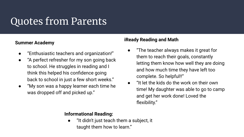#### Quotes from Parents

#### **Summer Academy**

- "Enthusiastic teachers and organization!"
- "A perfect refresher for my son going back to school. He struggles in reading and I think this helped his confidence going back to school in just a few short weeks."
- "My son was a happy learner each time he was dropped off and picked up."

#### **iReady Reading and Math**

- "The teacher always makes it great for them to reach their goals, constantly letting them know how well they are doing and how much time they have left too complete. So helpful!!"
- "It let the kids do the work on their own time! My daughter was able to go to camp and get her work done! Loved the flexibility."

#### **Informational Reading:**

"It didn't just teach them a subject, it taught them how to learn."